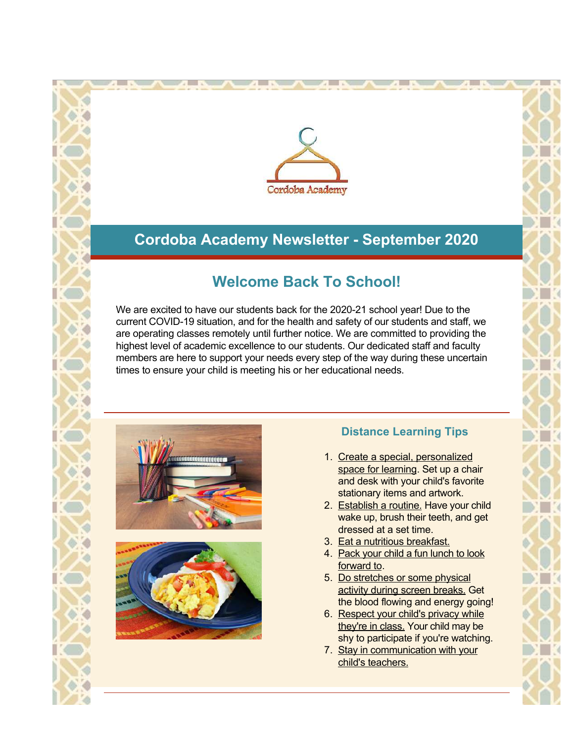

## **Cordoba Academy Newsletter - September 2020**

## **Welcome Back To School!**

We are excited to have our students back for the 2020-21 school year! Due to the current COVID-19 situation, and for the health and safety of our students and staff, we are operating classes remotely until further notice. We are committed to providing the highest level of academic excellence to our students. Our dedicated staff and faculty members are here to support your needs every step of the way during these uncertain times to ensure your child is meeting his or her educational needs.





## **Distance Learning Tips**

- 1. Create a special, personalized space for learning. Set up a chair and desk with your child's favorite stationary items and artwork.
- 2. Establish a routine. Have your child wake up, brush their teeth, and get dressed at a set time.
- 3. Eat a nutritious breakfast.
- 4. Pack your child a fun lunch to look forward to.
- 5. Do stretches or some physical activity during screen breaks. Get the blood flowing and energy going!
- 6. Respect your child's privacy while they're in class. Your child may be shy to participate if you're watching.
- 7. Stay in communication with your child's teachers.